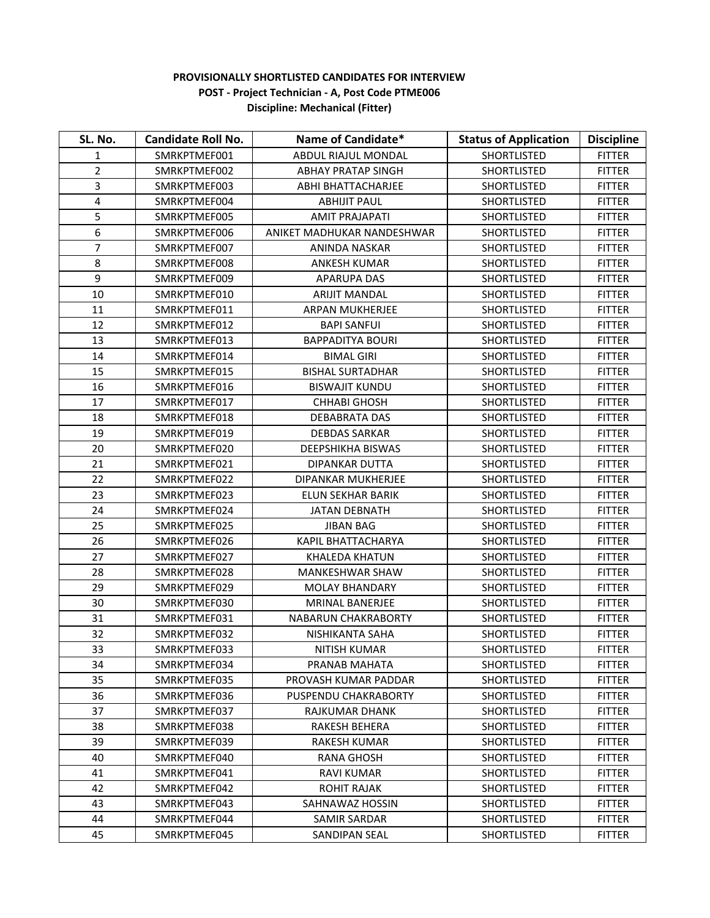## **PROVISIONALLY SHORTLISTED CANDIDATES FOR INTERVIEW POST - Project Technician - A, Post Code PTME006 Discipline: Mechanical (Fitter)**

| SL. No.                 | <b>Candidate Roll No.</b> | Name of Candidate*         | <b>Status of Application</b> | <b>Discipline</b> |
|-------------------------|---------------------------|----------------------------|------------------------------|-------------------|
| 1                       | SMRKPTMEF001              | ABDUL RIAJUL MONDAL        | <b>SHORTLISTED</b>           | <b>FITTER</b>     |
| $\overline{2}$          | SMRKPTMEF002              | <b>ABHAY PRATAP SINGH</b>  | SHORTLISTED                  | <b>FITTER</b>     |
| 3                       | SMRKPTMEF003              | ABHI BHATTACHARJEE         | <b>SHORTLISTED</b>           | <b>FITTER</b>     |
| $\overline{\mathbf{4}}$ | SMRKPTMEF004              | <b>ABHIJIT PAUL</b>        | <b>SHORTLISTED</b>           | <b>FITTER</b>     |
| 5                       | SMRKPTMEF005              | <b>AMIT PRAJAPATI</b>      | <b>SHORTLISTED</b>           | <b>FITTER</b>     |
| 6                       | SMRKPTMEF006              | ANIKET MADHUKAR NANDESHWAR | SHORTLISTED                  | <b>FITTER</b>     |
| 7                       | SMRKPTMEF007              | ANINDA NASKAR              | SHORTLISTED                  | <b>FITTER</b>     |
| 8                       | SMRKPTMEF008              | <b>ANKESH KUMAR</b>        | <b>SHORTLISTED</b>           | <b>FITTER</b>     |
| 9                       | SMRKPTMEF009              | <b>APARUPA DAS</b>         | <b>SHORTLISTED</b>           | <b>FITTER</b>     |
| 10                      | SMRKPTMEF010              | <b>ARIJIT MANDAL</b>       | <b>SHORTLISTED</b>           | <b>FITTER</b>     |
| 11                      | SMRKPTMEF011              | ARPAN MUKHERJEE            | SHORTLISTED                  | <b>FITTER</b>     |
| 12                      | SMRKPTMEF012              | <b>BAPI SANFUI</b>         | <b>SHORTLISTED</b>           | <b>FITTER</b>     |
| 13                      | SMRKPTMEF013              | <b>BAPPADITYA BOURI</b>    | <b>SHORTLISTED</b>           | <b>FITTER</b>     |
| 14                      | SMRKPTMEF014              | <b>BIMAL GIRI</b>          | <b>SHORTLISTED</b>           | <b>FITTER</b>     |
| 15                      | SMRKPTMEF015              | <b>BISHAL SURTADHAR</b>    | SHORTLISTED                  | <b>FITTER</b>     |
| 16                      | SMRKPTMEF016              | <b>BISWAJIT KUNDU</b>      | SHORTLISTED                  | <b>FITTER</b>     |
| 17                      | SMRKPTMEF017              | <b>CHHABI GHOSH</b>        | <b>SHORTLISTED</b>           | <b>FITTER</b>     |
| 18                      | SMRKPTMEF018              | <b>DEBABRATA DAS</b>       | <b>SHORTLISTED</b>           | <b>FITTER</b>     |
| 19                      | SMRKPTMEF019              | <b>DEBDAS SARKAR</b>       | <b>SHORTLISTED</b>           | <b>FITTER</b>     |
| 20                      | SMRKPTMEF020              | DEEPSHIKHA BISWAS          | SHORTLISTED                  | <b>FITTER</b>     |
| 21                      | SMRKPTMEF021              | DIPANKAR DUTTA             | <b>SHORTLISTED</b>           | <b>FITTER</b>     |
| 22                      | SMRKPTMEF022              | DIPANKAR MUKHERJEE         | <b>SHORTLISTED</b>           | <b>FITTER</b>     |
| 23                      | SMRKPTMEF023              | ELUN SEKHAR BARIK          | <b>SHORTLISTED</b>           | <b>FITTER</b>     |
| 24                      | SMRKPTMEF024              | <b>JATAN DEBNATH</b>       | <b>SHORTLISTED</b>           | <b>FITTER</b>     |
| 25                      | SMRKPTMEF025              | <b>JIBAN BAG</b>           | SHORTLISTED                  | <b>FITTER</b>     |
| 26                      | SMRKPTMEF026              | <b>KAPIL BHATTACHARYA</b>  | <b>SHORTLISTED</b>           | <b>FITTER</b>     |
| 27                      | SMRKPTMEF027              | <b>KHALEDA KHATUN</b>      | SHORTLISTED                  | <b>FITTER</b>     |
| 28                      | SMRKPTMEF028              | <b>MANKESHWAR SHAW</b>     | <b>SHORTLISTED</b>           | <b>FITTER</b>     |
| 29                      | SMRKPTMEF029              | <b>MOLAY BHANDARY</b>      | SHORTLISTED                  | <b>FITTER</b>     |
| 30                      | SMRKPTMEF030              | MRINAL BANERJEE            | <b>SHORTLISTED</b>           | <b>FITTER</b>     |
| 31                      | SMRKPTMEF031              | <b>NABARUN CHAKRABORTY</b> | <b>SHORTLISTED</b>           | <b>FITTER</b>     |
| 32                      | SMRKPTMEF032              | NISHIKANTA SAHA            | <b>SHORTLISTED</b>           | <b>FITTER</b>     |
| 33                      | SMRKPTMEF033              | NITISH KUMAR               | SHORTLISTED                  | <b>FITTER</b>     |
| 34                      | SMRKPTMEF034              | PRANAB MAHATA              | <b>SHORTLISTED</b>           | <b>FITTER</b>     |
| 35                      | SMRKPTMEF035              | PROVASH KUMAR PADDAR       | <b>SHORTLISTED</b>           | <b>FITTER</b>     |
| 36                      | SMRKPTMEF036              | PUSPENDU CHAKRABORTY       | <b>SHORTLISTED</b>           | <b>FITTER</b>     |
| 37                      | SMRKPTMEF037              | RAJKUMAR DHANK             | <b>SHORTLISTED</b>           | <b>FITTER</b>     |
| 38                      | SMRKPTMEF038              | RAKESH BEHERA              | <b>SHORTLISTED</b>           | <b>FITTER</b>     |
| 39                      | SMRKPTMEF039              | RAKESH KUMAR               | SHORTLISTED                  | <b>FITTER</b>     |
| 40                      | SMRKPTMEF040              | <b>RANA GHOSH</b>          | <b>SHORTLISTED</b>           | <b>FITTER</b>     |
| 41                      | SMRKPTMEF041              | RAVI KUMAR                 | <b>SHORTLISTED</b>           | <b>FITTER</b>     |
| 42                      | SMRKPTMEF042              | ROHIT RAJAK                | <b>SHORTLISTED</b>           | <b>FITTER</b>     |
| 43                      | SMRKPTMEF043              | SAHNAWAZ HOSSIN            | <b>SHORTLISTED</b>           | <b>FITTER</b>     |
| 44                      | SMRKPTMEF044              | SAMIR SARDAR               | <b>SHORTLISTED</b>           | <b>FITTER</b>     |
| 45                      | SMRKPTMEF045              | SANDIPAN SEAL              | <b>SHORTLISTED</b>           | <b>FITTER</b>     |